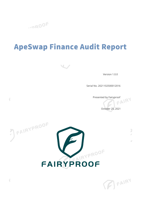

## **ApeSwap Finance Audit Report**



Version 1.0.0

Serial No. 2021102500012016

Presented by Fairyproof<br>
Presented by Fairyproof

þ V.

W.

October 25, 2021

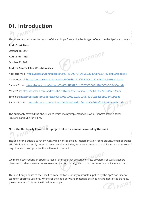## **01. Introduction**

This document includes the results of the audit performed by the Fairyproof team on the ApeSwap project.

FAIRYPROOF

#### **Audit Start Time:**

 $EANR$ 

October 18, 2021

#### **Audit End Time:**

October 22, 2021

#### **Audited Source Files' URL Addresses:**

ApeFactory.sol: <https://bscscan.com/address/0x0841BD0B734E4F5853f0dD8d7Ea041c241fb0Da6#code> ApeRouter.sol: <https://bscscan.com/address/0xcF0feBd3f17CEf5b47b0cD257aCf6025c5BFf3b7#code> BananaToken:<https://bscscan.com/address/0x603c7f932ED1fc6575303D8Fb018fDCBb0f39a95#code> MasterApe:<https://bscscan.com/address/0x5c8D727b265DBAfaba67E050f2f739cAeEB4A6F9#code> Timelock: <https://bscscan.com/address/0x2F07969090a2E9247C761747EA2358E5bB033460#code> BananaSplitBar:<https://bscscan.com/address/0x86ef5e73edb2fea111909fe35afcc564572acc06#code>

The audit only covered the above 6 files which mainly implement ApeSwap Finance's staking, token issurance and DEX functions.

#### **Note: the third-party libraries this project relies on were not covered by the audit.**  $FAR$

The goal of this audit is to review ApeSwap Finance's solidity implementation for its staking, token issurance and DEX functions, study potential security vulnerabilities, its general design and architecture, and uncover bugs that could compromise the software in production.

We make observations on specific areas of the code that present concrete problems, as well as general observations that traverse the entire codebase horizontally, which could improve its quality as a whole.

This audit only applies to the specified code, software or any materials supplied by the ApeSwap Finance team for specified versions. Whenever the code, software, materials, settings, enviroment etc is changed, the comments of this audit will no longer apply.

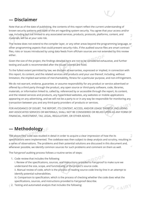## **— Disclaimer**

Note that as of the date of publishing, the contents of this report reflect the current understanding of known security patterns and state of the art regarding system security. You agree that your access and/or use, including but not limited to any associated services, products, protocols, platforms, content, and materials, will be at your sole risk.

The review does not extend to the compiler layer, or any other areas beyond the programming language, or other programming aspects that could present security risks. If the audited source files are smart contract files, risks or issues introduced by using data feeds from offchain sources are not extended by this review either.

Given the size of the project, the findings detailed here are not to be considered exhaustive, and further testing and audit is recommended after the issues covered are fixed.

To the fullest extent permitted by law, we disclaim all warranties, expressed or implied, in connection with this report, its content, and the related services and products and your use thereof, including, without limitation, the implied warranties of merchantability, fitness for a particular purpose, and non-infringement.

We do not warrant, endorse, guarantee, or assume responsibility for any product or service advertised or offered by a third party through the product, any open source or third-party software, code, libraries, materials, or information linked to, called by, referenced by or accessible through the report, its content, and the related services and products, any hyperlinked websites, any websites or mobile applications appearing on any advertising, and we will not be a party to or in any way be responsible for monitoring any transaction between you and any third-party providers of products or services.

FOR AVOIDANCE OF DOUBT, THE REPORT, ITS CONTENT, ACCESS, AND/OR USAGE THEREOF, INCLUDING ANY ASSOCIATED SERVICES OR MATERIALS, SHALL NOT BE CONSIDERED OR RELIED UPON AS ANY FORM OF FINANCIAL, INVESTMENT, TAX, LEGAL, REGULATORY, OR OTHER ADVICE.

## **— Methodology**

The above files' code was studied in detail in order to acquire a clear impression of how the its specifications were implemented. The codebase was then subject to deep analysis and scrutiny, resulting in a series of observations. The problems and their potential solutions are discussed in this document and, whenever possible, we identify common sources for such problems and comment on them as well.

The Fairyproof auditing process follows a routine series of steps:

1. Code review that includes the following

Code review that includes the following<br>i. Review of the specifications, sources, and instructions provided to Fairyproof to make sure we understand the size, scope, and functionality of the project's source code. ii. Manual review of code, which is the process of reading source code line-by-line in an attempt to identify potential vulnerabilities.

iii. Comparison to specification, which is the process of checking whether the code does what the specifications, sources, and instructions provided to Fairyproof describe.

 $\parallel$  2. Testing and automated analysis that includes the following:

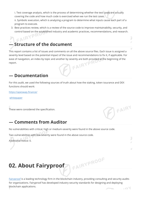i. Test coverage analysis, which is the process of determining whether the test cases are actually covering the code and how much code is exercised when we run the test cases. ii. Symbolic execution, which is analyzing a program to determine what inputs cause each part of a program to execute.

3. Best practices review, which is a review of the source code to improve maintainability, security, and control based on the established industry and academic practices, recommendations, and research.

## FAIRYP **Structure of the document**

This report contains a list of issues and comments on all the above source files. Each issue is assigned a severity level based on the potential impact of the issue and recommendations to fix it, if applicable. For ease of navigation, an index by topic and another by severity are both provided at the beginning of the report. report.

#### **— Documentation**

For this audit, we used the following sources of truth about how the staking, token issurance and DEX functions should work:

<https://apeswap.finance/>

[whitepaper](https://apeswap.gitbook.io/apeswap-finance/)

These were considered the specification.



#### **— Comments from Auditor**

No vulnerabilities with critical, high or medium-severity were found in the above source code.

Two vulnerabilities with low-severity were found in the above source code.

Additional notice: 0.

## **02. About Fairyproof**

[Fairyproof](https://www.fairyproof.com/) is a leading technology firm in the blockchain industry, providing consulting and security audits for organizations. Fairyproof has developed industry security standards for designing and deploying blockchain applications. $.701$ 

FAIRYPROOF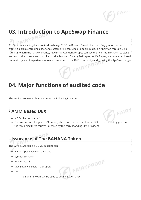# **03. Introduction to ApeSwap Finance**

ApeSwap is a leading decentralized exchange (DEX) on Binance Smart Chain and Polygon focused on ¥ offering a premier trading experience. Users are incentivized to pool liquidity on ApeSwap through yield farming to earn the native currency, \$BANANA. Additionally, apes can use their earned \$BANANA to stake and earn other tokens and unlock exclusive features. Built by DeFi apes, for DeFi apes, we have a dedicated team with years of experience who are committed to the DeFi community and growing the ApeSwap Jungle.

 $FAIP$ 

**AFAIRY** 

3

## **04. Major functions of audited code**

The audited code mainly implements the following functions:

### **- AMM Based DEX**

- A DEX like Uniswap V2
- The transaction charge is 0.2% among which one fourth is sent to the DEX's corresponding pool and the remaining three fourths is shared by the corresponding LP's providers.

FAIRYPROOF

## **- Issurance of The BANANA Token**

The BANANA token is a BEP20 based token

- Name: ApeSwapFinance Banana
- Symbol: BANANA
- Precisions: 18
- Max Supply: flexible max supply
- Misc:
	- The Banana token can be used to vote in governance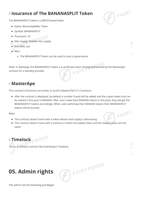## **- Issurance of The BANANASPLIT Token**

The BANANASPLIT token is a BEP20 based token

- Name: BananaSplitBar Token
- Symbol: BANANASPLIT
- Precisions: 18
- Max Supply: flexible max supply
- Burnable: yes
- Misc:
	- The BANANASPLIT token can be used to vote in governance

Note: in ApeSwap, the BANANASPLIT token is a certificate token minted and burned by the MasterApe contract for a liquidity provider.

**AFAIRY** 

 $FANRY$ 

#### **- MasterApe**

This contract's functions are similar to Sushi's MasterChef V1's functions:

After the contract is deployed, by default a number 0 pool will be added and the crypto token that can be staked in this pool is BANANA. After users stake their BANANA tokens in this pool, they will get the BANANASPLIT tokens accordingly. When users withdraw their BANANA tokens their BANANASPLIT tokens will be burned.

Note:

- This contract doesn't work with a token whose total supply is decreasing.
- This contract doesn't work with a scenario in which the staked token and the reward token are the same

FAIRYPROOF

**- Timelock**

This is a timelock contract like SushiSwap's Timelock.

## **05. Admin rights**

The admin has the following previlleges: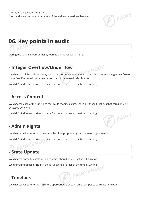- adding new pools for staking
- modifying the core parameters of the staking reward mechanism

# BEAIRY

FAIRY

## **06. Key points in audit**

During the audit Fairyproof mainly worked on the following items:

#### **- Integer Overflow/Underflow**

We checked all the code sections, which had arithmetic operations and might introduce integer overflow or underflow if no safe libraries were used. All of them used safe libraries.

PROOF

We didn't find issues or risks in these functions or areas at the time of writing.

#### **- Access Control**

 $\subset \mathbb{A}$ 

We checked each of the functions that could modify a state, especially those functions that could only be accessed by "owner".

We didn't find issues or risks in these functions or areas at the time of writing.

#### **- Admin Rights**

We checked whether or not the admin had inappropriate rights to access crypto assets.

We didn't find issues or risks in these functions or areas at the time of writing.

## **- State Update**

We checked some key state variables which should only be set at initialization.

We didn't find issues or risks in these functions or areas at the time of writing.<br>- Timelock

#### **- Timelock**

We checked whether or not now was appropriately used in time stampes to calculate timelocks.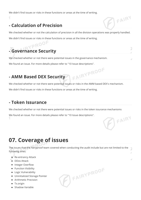We didn't find issues or risks in these functions or areas at the time of writing.

## **- Calculation of Precision**

We checked whether or not the calculation of precision in all the division operations was properly handled. We didn't find issues or risks in these functions or areas at the time of writing.<br>Note that the time of writing.

FAIRY

FAIRY

3

## **- Governance Security**

We checked whether or not there were potential issues in the governance mechanism.

We found an issue. For more details please refer to "10 Issue descriptions".

### **- AMM Based DEX Security**

We checked whether or not there were potential issues or risks in the AMM based DEX's mechanism.

FAIRYPROOF

We didn't find issues or risks in these functions or areas at the time of writing.

#### **- Token Issurance**

We checked whether or not there were potential issues or risks in the token issurance mechanisms

We found an issue. For more details please refer to "10 Issue descriptions".

## **07. Coverage of issues**

The issues that the Fairyproof team covered when conducting the audit include but are not limited to the following ones:

**PEAIRYPROOF** 

- Re-entrancy Attack
- DDos Attack
- Integer Overflow
- Function Visibility
- Logic Vulnerability
- Uninitialized Storage Pointer
- Arithmetic Precision
- Tx.origin
- Shadow Variable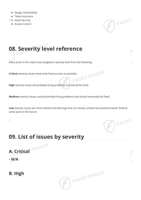- Design Vulnerability
- **•** Token Issurance
- **Asset Security**
- Access Control



## **08. Severity level reference**

Every issue in this report was assigned a severity level from the following:

**Critical** severity issues need to be fixed as soon as possible.

**High** severity issues will probably bring problems and should be fixed.

**Medium** severity issues could potentially bring problems and should eventually be fixed.

**Low** severity issues are minor details and warnings that can remain unfixed but would be better fixed at some point in the future.

**AFAIRYPROOF** 

 $\mathbb{Z}$  FAIRY

7

## **09. List of issues by severity**

# **A. Critical**

**- N/A**

Ч

#### **B. High**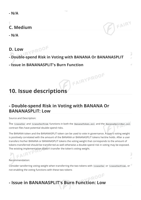## **C. Medium**

**- N/A**

#### **D. Low**

## **- Double-spend Risk in Voting with BANANA Or BANANASPLIT**

FAIRYPROOF

FAIRY

#### **- Issue in BANANASPLIT's Burn Function**

## **10. Issue descriptions**

PROOF

### **- Double-spend Risk in Voting with BANANA Or BANANASPLIT: Low**

Source and Description:

The transfer and transferFrom functions in both the BananaToken.sol and the BananaSplitBar.sol contract files have potential double-spend risks.

The BANANA token and the BANANASPLIT token can be used to vote in governance. A user's voting weight is positively correlated with the amount of the BANANA or BANANASPLIT tokens he/she holds. After a user transfers his/her BANANA or BANANASPLIT tokens the voting weight that corresponds to the amount of tokens transferred should be transferred as well otherwise a double-spend risk in voting may be exposed. The existing implementation doesn't transfer the token's voting weight.

Recommendation:

Consider tansferring voting weight when transferring the two tokens with transfer or transferFrom, or not enabling the voting functions with these two tokens

## **- Issue in BANANASPLIT's Burn Function: Low**